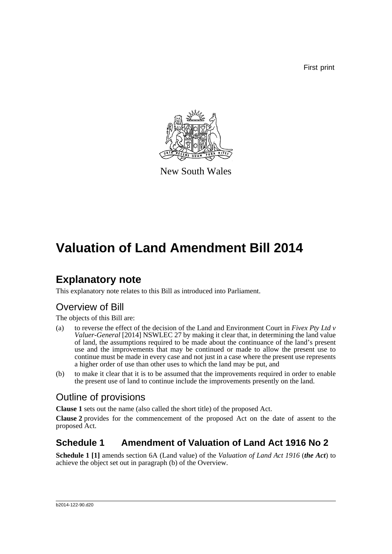First print



New South Wales

## **Valuation of Land Amendment Bill 2014**

### **Explanatory note**

This explanatory note relates to this Bill as introduced into Parliament.

### Overview of Bill

The objects of this Bill are:

- (a) to reverse the effect of the decision of the Land and Environment Court in *Fivex Pty Ltd v Valuer-General* [2014] NSWLEC 27 by making it clear that, in determining the land value of land, the assumptions required to be made about the continuance of the land's present use and the improvements that may be continued or made to allow the present use to continue must be made in every case and not just in a case where the present use represents a higher order of use than other uses to which the land may be put, and
- (b) to make it clear that it is to be assumed that the improvements required in order to enable the present use of land to continue include the improvements presently on the land.

#### Outline of provisions

**Clause 1** sets out the name (also called the short title) of the proposed Act.

**Clause 2** provides for the commencement of the proposed Act on the date of assent to the proposed Act.

#### **Schedule 1 Amendment of Valuation of Land Act 1916 No 2**

**Schedule 1 [1]** amends section 6A (Land value) of the *Valuation of Land Act 1916* (*the Act*) to achieve the object set out in paragraph (b) of the Overview.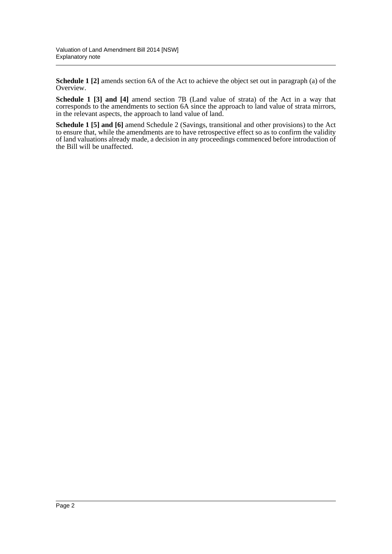**Schedule 1 [2]** amends section 6A of the Act to achieve the object set out in paragraph (a) of the Overview.

**Schedule 1 [3] and [4]** amend section 7B (Land value of strata) of the Act in a way that corresponds to the amendments to section 6A since the approach to land value of strata mirrors, in the relevant aspects, the approach to land value of land.

**Schedule 1 [5] and [6]** amend Schedule 2 (Savings, transitional and other provisions) to the Act to ensure that, while the amendments are to have retrospective effect so as to confirm the validity of land valuations already made, a decision in any proceedings commenced before introduction of the Bill will be unaffected.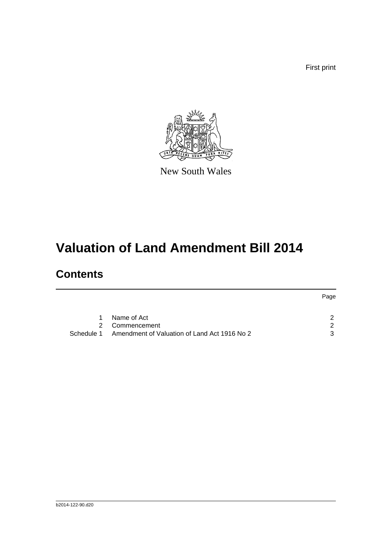First print



New South Wales

# **Valuation of Land Amendment Bill 2014**

### **Contents**

|            |                                              | Page |
|------------|----------------------------------------------|------|
| 1.         | Name of Act                                  | - 2  |
|            |                                              |      |
|            | 2 Commencement                               | - 2  |
| Schedule 1 | Amendment of Valuation of Land Act 1916 No 2 | 3    |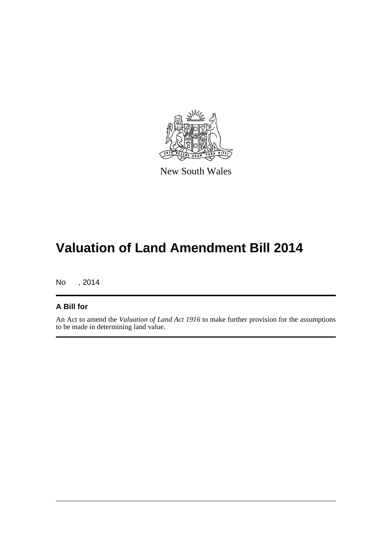

New South Wales

## **Valuation of Land Amendment Bill 2014**

No , 2014

#### **A Bill for**

An Act to amend the *Valuation of Land Act 1916* to make further provision for the assumptions to be made in determining land value.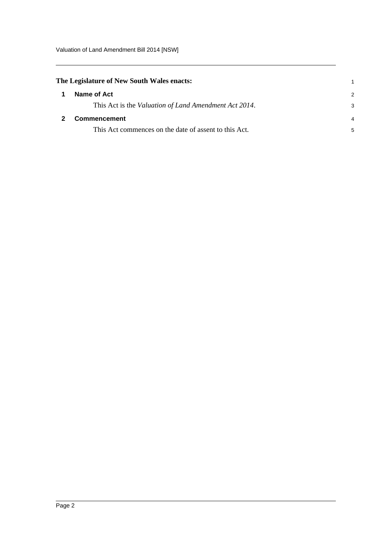<span id="page-4-1"></span><span id="page-4-0"></span>

|   | The Legislature of New South Wales enacts:            |   |  |
|---|-------------------------------------------------------|---|--|
| 1 | Name of Act                                           | 2 |  |
|   | This Act is the Valuation of Land Amendment Act 2014. | 3 |  |
|   | <b>Commencement</b>                                   |   |  |
|   | This Act commences on the date of assent to this Act. | 5 |  |
|   |                                                       |   |  |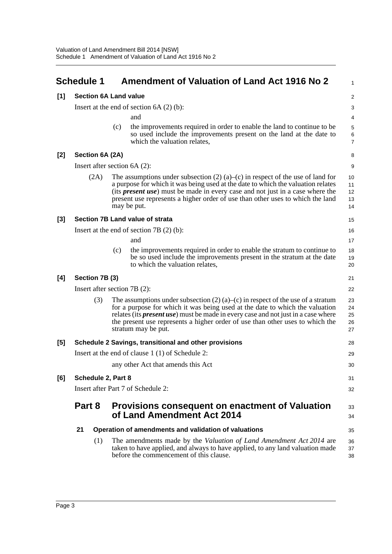<span id="page-5-0"></span>

|       | <b>Schedule 1</b>                                     |                                |     | <b>Amendment of Valuation of Land Act 1916 No 2</b>                                                                                                                                                                                                                                                                                                                  | $\mathbf{1}$                             |  |
|-------|-------------------------------------------------------|--------------------------------|-----|----------------------------------------------------------------------------------------------------------------------------------------------------------------------------------------------------------------------------------------------------------------------------------------------------------------------------------------------------------------------|------------------------------------------|--|
| [1]   |                                                       |                                |     | <b>Section 6A Land value</b>                                                                                                                                                                                                                                                                                                                                         | 2                                        |  |
|       | Insert at the end of section $6A(2)(b)$ :             |                                |     |                                                                                                                                                                                                                                                                                                                                                                      | 3                                        |  |
|       |                                                       |                                |     | and                                                                                                                                                                                                                                                                                                                                                                  | 4                                        |  |
|       |                                                       |                                | (c) | the improvements required in order to enable the land to continue to be<br>so used include the improvements present on the land at the date to<br>which the valuation relates,                                                                                                                                                                                       | $\mathbf 5$<br>$\,6\,$<br>$\overline{7}$ |  |
| $[2]$ | Section 6A (2A)                                       |                                |     |                                                                                                                                                                                                                                                                                                                                                                      | 8                                        |  |
|       |                                                       | Insert after section $6A(2)$ : |     |                                                                                                                                                                                                                                                                                                                                                                      |                                          |  |
|       |                                                       | (2A)                           |     | The assumptions under subsection $(2)$ (a)–(c) in respect of the use of land for<br>a purpose for which it was being used at the date to which the valuation relates<br>(its <i>present use</i> ) must be made in every case and not just in a case where the<br>present use represents a higher order of use than other uses to which the land<br>may be put.       | 10<br>11<br>12<br>13<br>14               |  |
| $[3]$ | Section 7B Land value of strata                       |                                |     | 15                                                                                                                                                                                                                                                                                                                                                                   |                                          |  |
|       | Insert at the end of section $7B(2)$ (b):             |                                |     | 16                                                                                                                                                                                                                                                                                                                                                                   |                                          |  |
|       |                                                       |                                |     | and                                                                                                                                                                                                                                                                                                                                                                  | 17                                       |  |
|       |                                                       |                                | (c) | the improvements required in order to enable the stratum to continue to<br>be so used include the improvements present in the stratum at the date<br>to which the valuation relates,                                                                                                                                                                                 | 18<br>19<br>20                           |  |
| [4]   | Section 7B (3)                                        |                                |     |                                                                                                                                                                                                                                                                                                                                                                      | 21                                       |  |
|       | Insert after section $7B(2)$ :                        |                                |     |                                                                                                                                                                                                                                                                                                                                                                      | 22                                       |  |
|       |                                                       | (3)                            |     | The assumptions under subsection (2) (a)–(c) in respect of the use of a stratum<br>for a purpose for which it was being used at the date to which the valuation<br>relates (its <i>present use</i> ) must be made in every case and not just in a case where<br>the present use represents a higher order of use than other uses to which the<br>stratum may be put. | 23<br>24<br>25<br>26<br>27               |  |
| [5]   | Schedule 2 Savings, transitional and other provisions |                                |     | 28                                                                                                                                                                                                                                                                                                                                                                   |                                          |  |
|       | Insert at the end of clause 1 (1) of Schedule 2:      |                                |     | 29                                                                                                                                                                                                                                                                                                                                                                   |                                          |  |
|       |                                                       |                                |     | any other Act that amends this Act                                                                                                                                                                                                                                                                                                                                   | 30                                       |  |
| [6]   | Schedule 2, Part 8                                    |                                |     | 31                                                                                                                                                                                                                                                                                                                                                                   |                                          |  |
|       | Insert after Part 7 of Schedule 2:                    |                                |     |                                                                                                                                                                                                                                                                                                                                                                      | 32                                       |  |
|       | Part 8                                                |                                |     | Provisions consequent on enactment of Valuation<br>of Land Amendment Act 2014                                                                                                                                                                                                                                                                                        | 33<br>34                                 |  |
|       | 21                                                    |                                |     | Operation of amendments and validation of valuations                                                                                                                                                                                                                                                                                                                 | 35                                       |  |
|       |                                                       | (1)                            |     | The amendments made by the Valuation of Land Amendment Act 2014 are<br>taken to have applied, and always to have applied, to any land valuation made<br>before the commencement of this clause.                                                                                                                                                                      | 36<br>37<br>38                           |  |